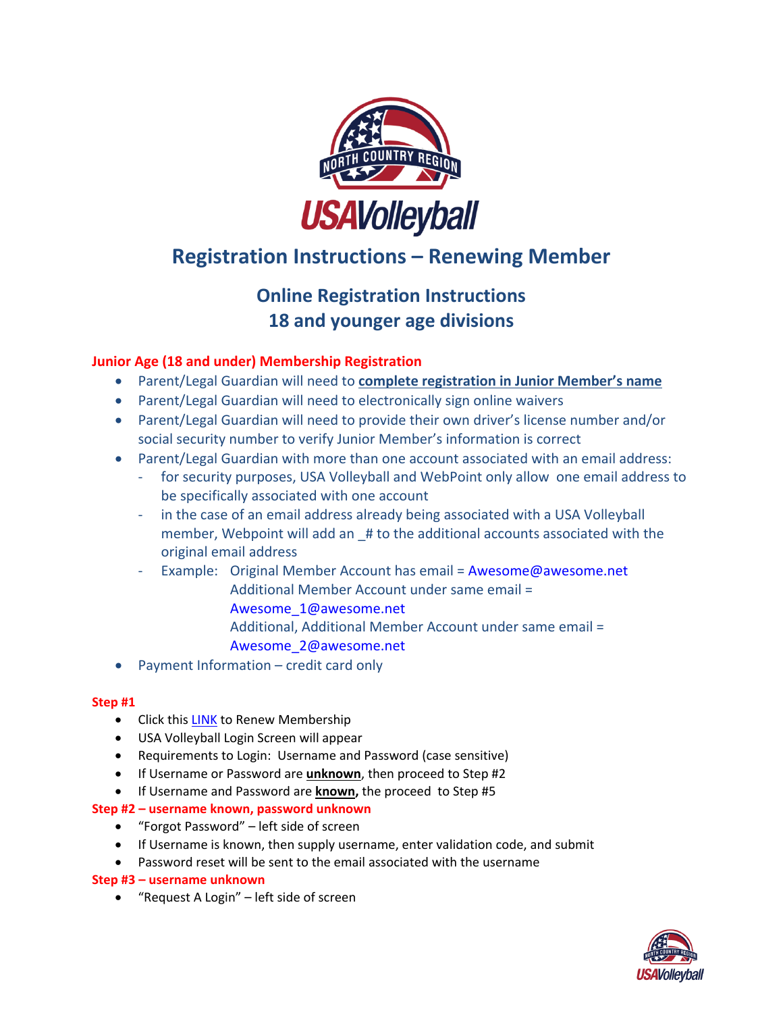

# **Registration Instructions – Renewing Member**

## **Online Registration Instructions 18 and younger age divisions**

### **Junior Age (18 and under) Membership Registration**

- Parent/Legal Guardian will need to **complete registration in Junior Member's name**
- Parent/Legal Guardian will need to electronically sign online waivers
- Parent/Legal Guardian will need to provide their own driver's license number and/or social security number to verify Junior Member's information is correct
- Parent/Legal Guardian with more than one account associated with an email address:
	- for security purposes, USA Volleyball and WebPoint only allow one email address to be specifically associated with one account
	- in the case of an email address already being associated with a USA Volleyball member, Webpoint will add an \_# to the additional accounts associated with the original email address
		- Example: Original Member Account has email = [Awesome@awesome.net](mailto:Awesome@awesome.net) Additional Member Account under same email = [Awesome\\_1@awesome.net](mailto:Awesome_1@awesome.net)
			- Additional, Additional Member Account under same email = [Awesome\\_2@awesome.net](mailto:Awesome_2@awesome.net)
- Payment Information credit card only

#### **Step #1**

- Click this [LINK](https://webpoint.usavolleyball.org/wp15/IntraLock/Login.wp?TargetPath=%2Fwp%2FWelcome.wp&ErrorCode=5) to Renew Membership
- USA Volleyball Login Screen will appear
- Requirements to Login: Username and Password (case sensitive)
- If Username or Password are **unknown**, then proceed to Step #2
- If Username and Password are **known,** the proceed to Step #5

#### **Step #2 – username known, password unknown**

- "Forgot Password" left side of screen
- If Username is known, then supply username, enter validation code, and submit
- Password reset will be sent to the email associated with the username

#### **Step #3 – username unknown**

"Request A Login" – left side of screen

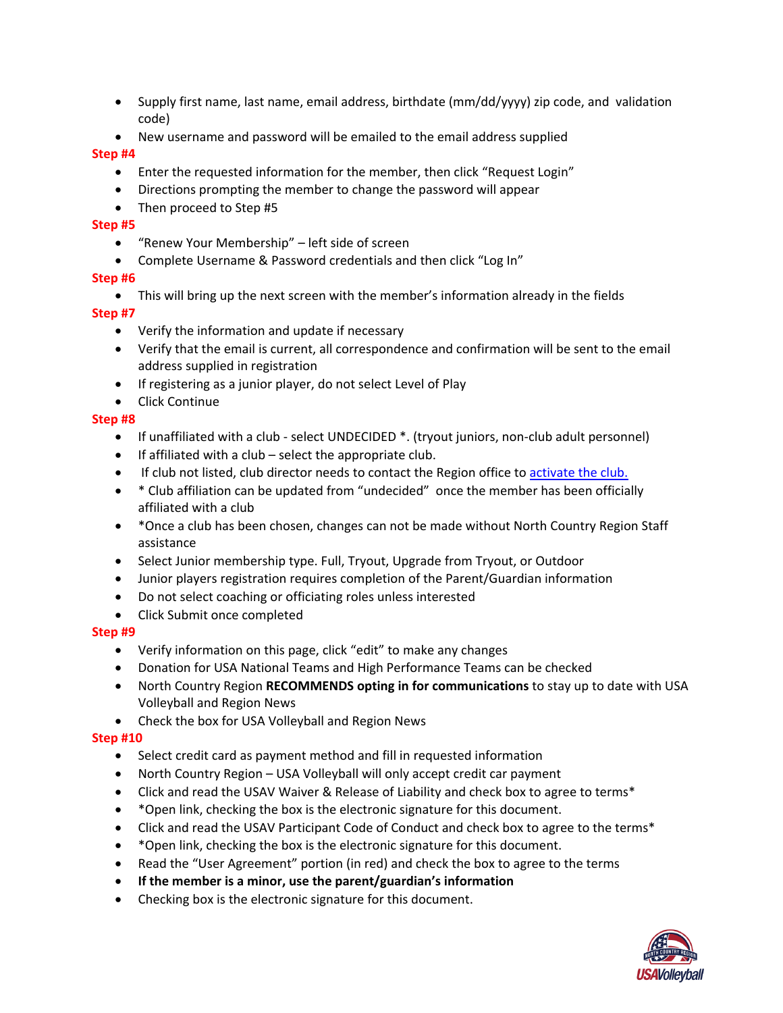- Supply first name, last name, email address, birthdate (mm/dd/yyyy) zip code, and validation code)
- New username and password will be emailed to the email address supplied

#### **Step #4**

- Enter the requested information for the member, then click "Request Login"
- Directions prompting the member to change the password will appear
- Then proceed to Step #5

#### **Step #5**

- "Renew Your Membership" left side of screen
- Complete Username & Password credentials and then click "Log In"

#### **Step #6**

This will bring up the next screen with the member's information already in the fields

#### **Step #7**

- Verify the information and update if necessary
- Verify that the email is current, all correspondence and confirmation will be sent to the email address supplied in registration
- If registering as a junior player, do not select Level of Play
- **•** Click Continue

#### **Step #8**

- If unaffiliated with a club select UNDECIDED \*. (tryout juniors, non-club adult personnel)
- $\bullet$  If affiliated with a club select the appropriate club.
- If club not listed, club director needs to contact the Region office to [activate the club.](https://north-country-region.sportngin.com/register/form/072736479?_ga=2.183137957.2011966172.1568297951-1334966383.1568125536)
- \* Club affiliation can be updated from "undecided" once the member has been officially affiliated with a club
- \* Once a club has been chosen, changes can not be made without North Country Region Staff assistance
- Select Junior membership type. Full, Tryout, Upgrade from Tryout, or Outdoor
- Junior players registration requires completion of the Parent/Guardian information
- Do not select coaching or officiating roles unless interested
- Click Submit once completed

#### **Step #9**

- Verify information on this page, click "edit" to make any changes
- Donation for USA National Teams and High Performance Teams can be checked
- North Country Region **RECOMMENDS opting in for communications** to stay up to date with USA Volleyball and Region News
- Check the box for USA Volleyball and Region News

#### **Step #10**

- Select credit card as payment method and fill in requested information
- North Country Region USA Volleyball will only accept credit car payment
- Click and read the USAV Waiver & Release of Liability and check box to agree to terms\*
- \*Open link, checking the box is the electronic signature for this document.
- Click and read the USAV Participant Code of Conduct and check box to agree to the terms\*
- \*Open link, checking the box is the electronic signature for this document.
- Read the "User Agreement" portion (in red) and check the box to agree to the terms
- **If the member is a minor, use the parent/guardian's information**
- Checking box is the electronic signature for this document.